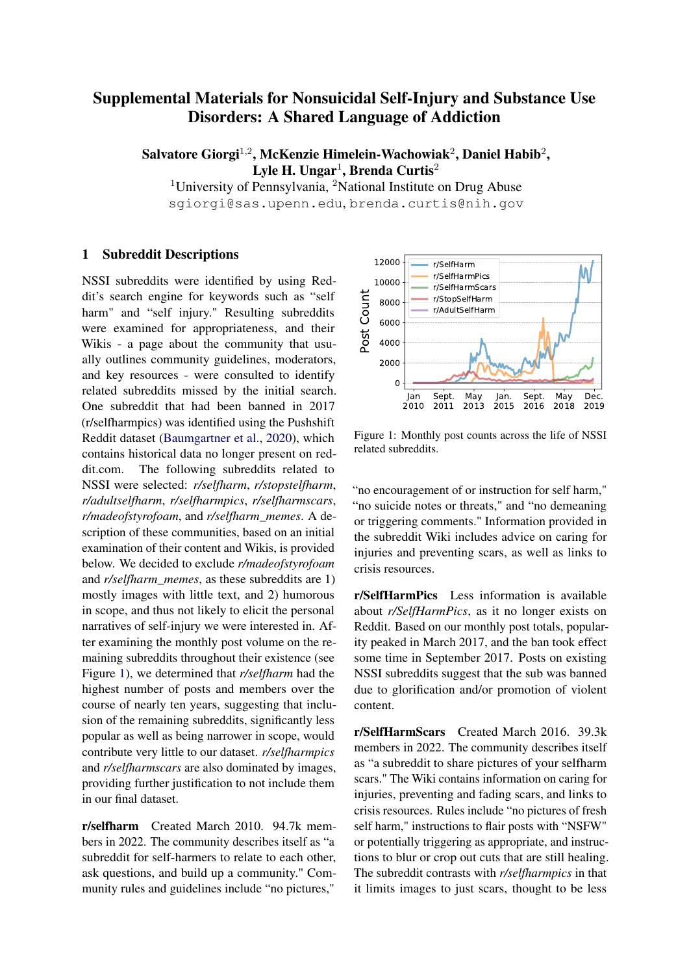## Supplemental Materials for Nonsuicidal Self-Injury and Substance Use Disorders: A Shared Language of Addiction

Salvatore Giorgi $^{1,2}$ , McKenzie Himelein-Wachowiak $^{2}$ , Daniel Habib $^{2},$ Lyle H. Ungar $^1$ , Brenda Curtis $^2$ 

<sup>1</sup>University of Pennsylvania, <sup>2</sup>National Institute on Drug Abuse sgiorgi@sas.upenn.edu, brenda.curtis@nih.gov

## 1 Subreddit Descriptions

NSSI subreddits were identified by using Reddit's search engine for keywords such as "self harm" and "self injury." Resulting subreddits were examined for appropriateness, and their Wikis - a page about the community that usually outlines community guidelines, moderators, and key resources - were consulted to identify related subreddits missed by the initial search. One subreddit that had been banned in 2017 (r/selfharmpics) was identified using the Pushshift Reddit dataset [\(Baumgartner et al.,](#page-2-0) [2020\)](#page-2-0), which contains historical data no longer present on reddit.com. The following subreddits related to NSSI were selected: *r/selfharm*, *r/stopstelfharm*, *r/adultselfharm*, *r/selfharmpics*, *r/selfharmscars*, *r/madeofstyrofoam*, and *r/selfharm\_memes*. A description of these communities, based on an initial examination of their content and Wikis, is provided below. We decided to exclude *r/madeofstyrofoam* and *r/selfharm\_memes*, as these subreddits are 1) mostly images with little text, and 2) humorous in scope, and thus not likely to elicit the personal narratives of self-injury we were interested in. After examining the monthly post volume on the remaining subreddits throughout their existence (see Figure [1\)](#page-0-0), we determined that *r/selfharm* had the highest number of posts and members over the course of nearly ten years, suggesting that inclusion of the remaining subreddits, significantly less popular as well as being narrower in scope, would contribute very little to our dataset. *r/selfharmpics* and *r/selfharmscars* are also dominated by images, providing further justification to not include them in our final dataset.

r/selfharm Created March 2010. 94.7k members in 2022. The community describes itself as "a subreddit for self-harmers to relate to each other, ask questions, and build up a community." Community rules and guidelines include "no pictures,"

<span id="page-0-0"></span>

Figure 1: Monthly post counts across the life of NSSI related subreddits.

"no encouragement of or instruction for self harm," "no suicide notes or threats," and "no demeaning or triggering comments." Information provided in the subreddit Wiki includes advice on caring for injuries and preventing scars, as well as links to crisis resources.

r/SelfHarmPics Less information is available about *r/SelfHarmPics*, as it no longer exists on Reddit. Based on our monthly post totals, popularity peaked in March 2017, and the ban took effect some time in September 2017. Posts on existing NSSI subreddits suggest that the sub was banned due to glorification and/or promotion of violent content.

r/SelfHarmScars Created March 2016. 39.3k members in 2022. The community describes itself as "a subreddit to share pictures of your selfharm scars." The Wiki contains information on caring for injuries, preventing and fading scars, and links to crisis resources. Rules include "no pictures of fresh self harm," instructions to flair posts with "NSFW" or potentially triggering as appropriate, and instructions to blur or crop out cuts that are still healing. The subreddit contrasts with *r/selfharmpics* in that it limits images to just scars, thought to be less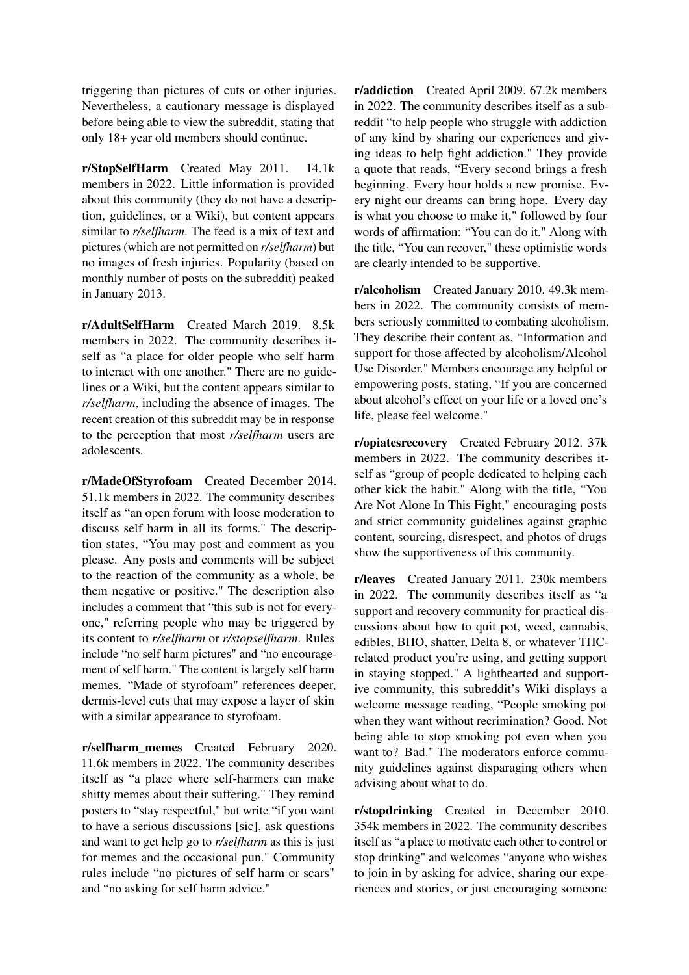triggering than pictures of cuts or other injuries. Nevertheless, a cautionary message is displayed before being able to view the subreddit, stating that only 18+ year old members should continue.

r/StopSelfHarm Created May 2011. 14.1k members in 2022. Little information is provided about this community (they do not have a description, guidelines, or a Wiki), but content appears similar to *r/selfharm*. The feed is a mix of text and pictures (which are not permitted on *r/selfharm*) but no images of fresh injuries. Popularity (based on monthly number of posts on the subreddit) peaked in January 2013.

r/AdultSelfHarm Created March 2019. 8.5k members in 2022. The community describes itself as "a place for older people who self harm to interact with one another." There are no guidelines or a Wiki, but the content appears similar to *r/selfharm*, including the absence of images. The recent creation of this subreddit may be in response to the perception that most *r/selfharm* users are adolescents.

r/MadeOfStyrofoam Created December 2014. 51.1k members in 2022. The community describes itself as "an open forum with loose moderation to discuss self harm in all its forms." The description states, "You may post and comment as you please. Any posts and comments will be subject to the reaction of the community as a whole, be them negative or positive." The description also includes a comment that "this sub is not for everyone," referring people who may be triggered by its content to *r/selfharm* or *r/stopselfharm*. Rules include "no self harm pictures" and "no encouragement of self harm." The content is largely self harm memes. "Made of styrofoam" references deeper, dermis-level cuts that may expose a layer of skin with a similar appearance to styrofoam.

r/selfharm\_memes Created February 2020. 11.6k members in 2022. The community describes itself as "a place where self-harmers can make shitty memes about their suffering." They remind posters to "stay respectful," but write "if you want to have a serious discussions [sic], ask questions and want to get help go to *r/selfharm* as this is just for memes and the occasional pun." Community rules include "no pictures of self harm or scars" and "no asking for self harm advice."

r/addiction Created April 2009. 67.2k members in 2022. The community describes itself as a subreddit "to help people who struggle with addiction of any kind by sharing our experiences and giving ideas to help fight addiction." They provide a quote that reads, "Every second brings a fresh beginning. Every hour holds a new promise. Every night our dreams can bring hope. Every day is what you choose to make it," followed by four words of affirmation: "You can do it." Along with the title, "You can recover," these optimistic words are clearly intended to be supportive.

r/alcoholism Created January 2010. 49.3k members in 2022. The community consists of members seriously committed to combating alcoholism. They describe their content as, "Information and support for those affected by alcoholism/Alcohol Use Disorder." Members encourage any helpful or empowering posts, stating, "If you are concerned about alcohol's effect on your life or a loved one's life, please feel welcome."

r/opiatesrecovery Created February 2012. 37k members in 2022. The community describes itself as "group of people dedicated to helping each other kick the habit." Along with the title, "You Are Not Alone In This Fight," encouraging posts and strict community guidelines against graphic content, sourcing, disrespect, and photos of drugs show the supportiveness of this community.

r/leaves Created January 2011. 230k members in 2022. The community describes itself as "a support and recovery community for practical discussions about how to quit pot, weed, cannabis, edibles, BHO, shatter, Delta 8, or whatever THCrelated product you're using, and getting support in staying stopped." A lighthearted and supportive community, this subreddit's Wiki displays a welcome message reading, "People smoking pot when they want without recrimination? Good. Not being able to stop smoking pot even when you want to? Bad." The moderators enforce community guidelines against disparaging others when advising about what to do.

r/stopdrinking Created in December 2010. 354k members in 2022. The community describes itself as "a place to motivate each other to control or stop drinking" and welcomes "anyone who wishes to join in by asking for advice, sharing our experiences and stories, or just encouraging someone